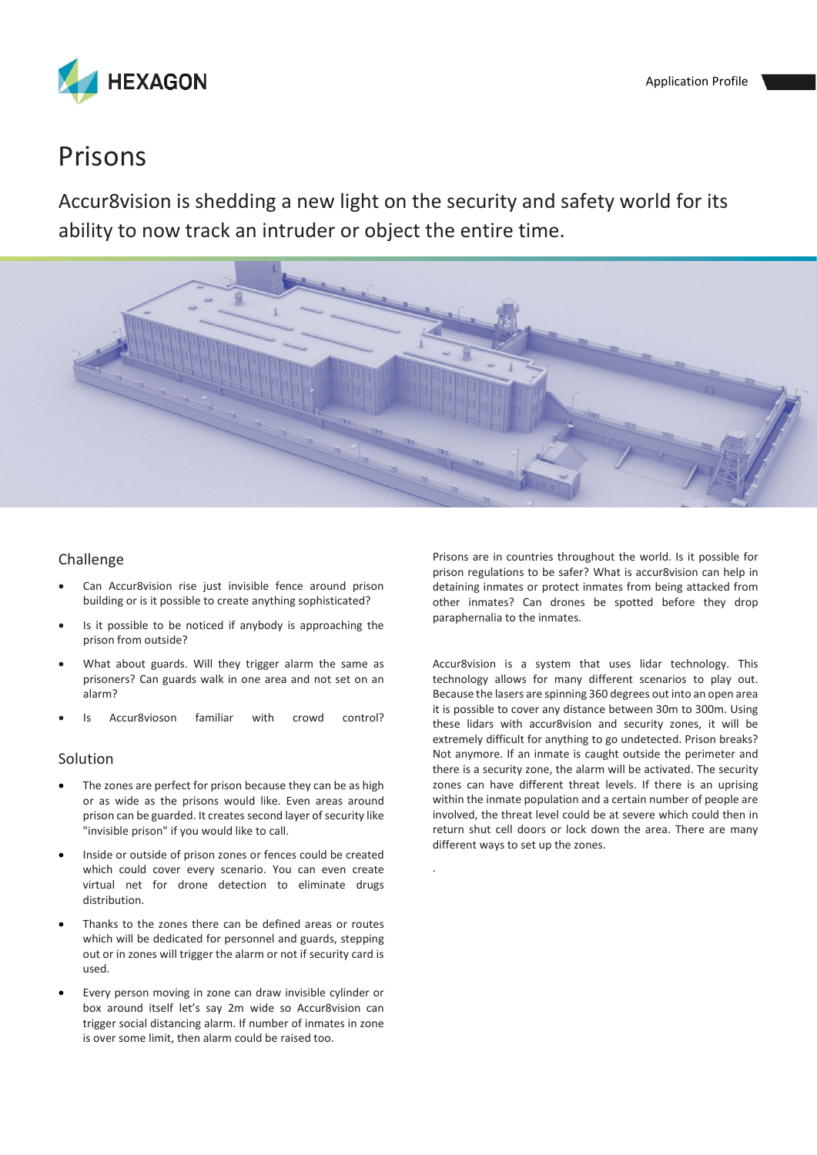

## Prisons

Accur8vision is shedding a new light on the security and safety world for its ability to now track an intruder or object the entire time.



.

## Challenge

- Can Accur8vision rise just invisible fence around prison building or is it possible to create anything sophisticated?
- Is it possible to be noticed if anybody is approaching the prison from outside?
- What about guards. Will they trigger alarm the same as prisoners? Can guards walk in one area and not set on an alarm?
- Is Accur8vioson familiar with crowd control?

## Solution

- The zones are perfect for prison because they can be as high or as wide as the prisons would like. Even areas around prison can be guarded. It creates second layer of security like "invisible prison" if you would like to call.
- Inside or outside of prison zones or fences could be created which could cover every scenario. You can even create virtual net for drone detection to eliminate drugs distribution.
- Thanks to the zones there can be defined areas or routes which will be dedicated for personnel and guards, stepping out or in zones will trigger the alarm or not if security card is used.
- Every person moving in zone can draw invisible cylinder or box around itself let's say 2m wide so Accur8vision can trigger social distancing alarm. If number of inmates in zone is over some limit, then alarm could be raised too.

Prisons are in countries throughout the world. Is it possible for prison regulations to be safer? What is accur8vision can help in detaining inmates or protect inmates from being attacked from other inmates? Can drones be spotted before they drop paraphernalia to the inmates.

Accur8vision is a system that uses lidar technology. This technology allows for many different scenarios to play out. Because the lasers are spinning 360 degrees out into an open area it is possible to cover any distance between 30m to 300m. Using these lidars with accur8vision and security zones, it will be extremely difficult for anything to go undetected. Prison breaks? Not anymore. If an inmate is caught outside the perimeter and there is a security zone, the alarm will be activated. The security zones can have different threat levels. If there is an uprising within the inmate population and a certain number of people are involved, the threat level could be at severe which could then in return shut cell doors or lock down the area. There are many different ways to set up the zones.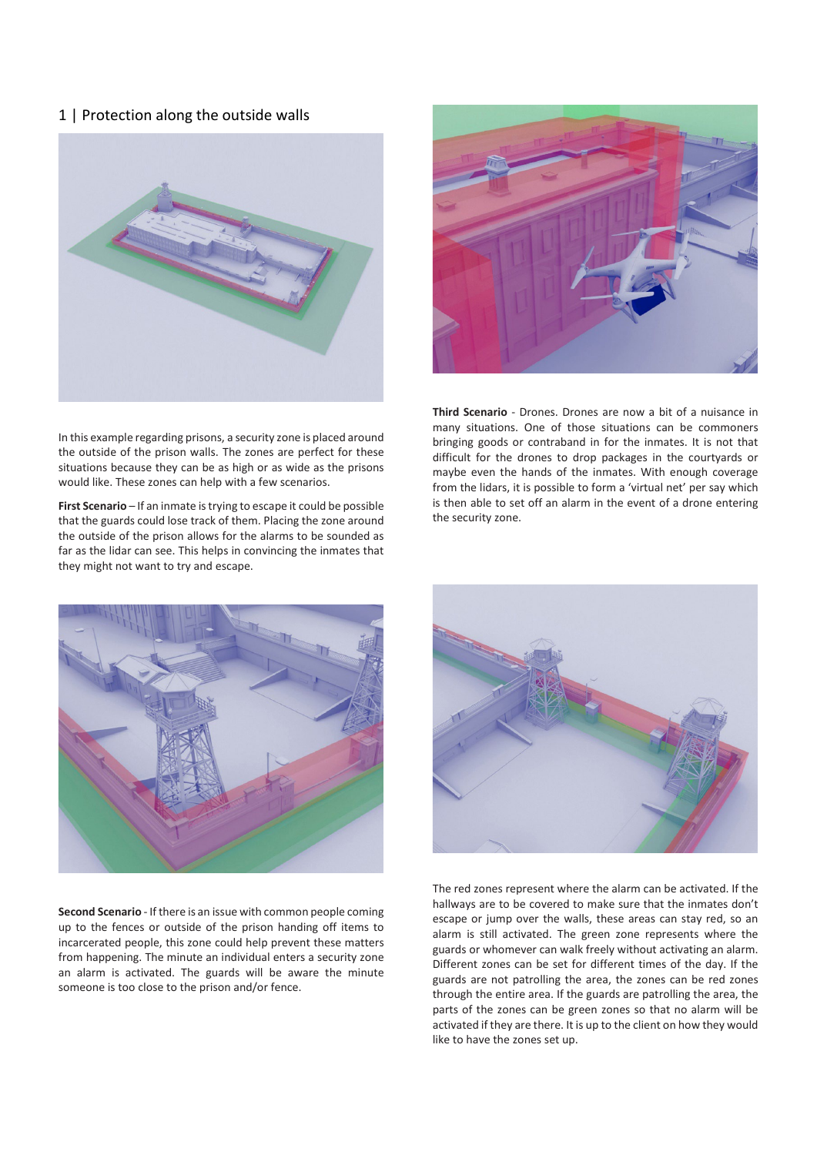1 | Protection along the outside walls



In this example regarding prisons, a security zone is placed around the outside of the prison walls. The zones are perfect for these situations because they can be as high or as wide as the prisons would like. These zones can help with a few scenarios.

**First Scenario** – If an inmate is trying to escape it could be possible that the guards could lose track of them. Placing the zone around the outside of the prison allows for the alarms to be sounded as far as the lidar can see. This helps in convincing the inmates that they might not want to try and escape.



**Third Scenario** - Drones. Drones are now a bit of a nuisance in many situations. One of those situations can be commoners bringing goods or contraband in for the inmates. It is not that difficult for the drones to drop packages in the courtyards or maybe even the hands of the inmates. With enough coverage from the lidars, it is possible to form a 'virtual net' per say which is then able to set off an alarm in the event of a drone entering the security zone.



**Second Scenario** - If there is an issue with common people coming up to the fences or outside of the prison handing off items to incarcerated people, this zone could help prevent these matters from happening. The minute an individual enters a security zone an alarm is activated. The guards will be aware the minute someone is too close to the prison and/or fence.



The red zones represent where the alarm can be activated. If the hallways are to be covered to make sure that the inmates don't escape or jump over the walls, these areas can stay red, so an alarm is still activated. The green zone represents where the guards or whomever can walk freely without activating an alarm. Different zones can be set for different times of the day. If the guards are not patrolling the area, the zones can be red zones through the entire area. If the guards are patrolling the area, the parts of the zones can be green zones so that no alarm will be activated if they are there. It is up to the client on how they would like to have the zones set up.